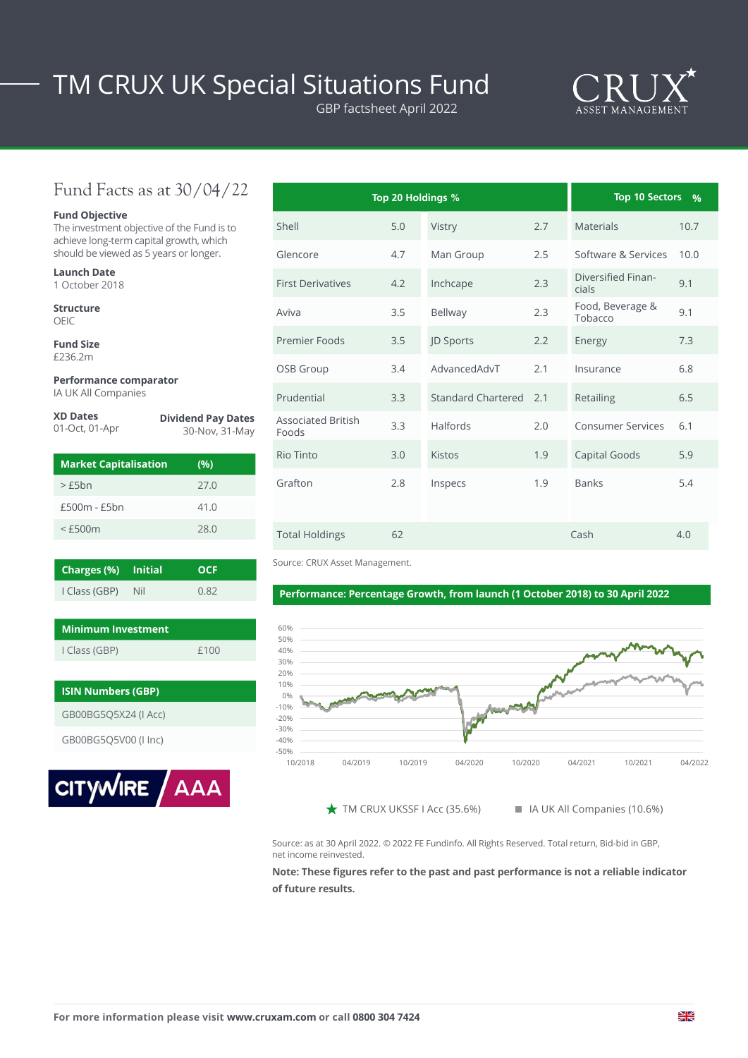# TM CRUX UK Special Situations Fund

GBP factsheet April 2022



## Fund Facts as at 30/04/22

#### **Fund Objective**

The investment objective of the Fund is to achieve long-term capital growth, which should be viewed as 5 years or longer.

| <b>Launch Date</b> |
|--------------------|
| 1 October 2018     |

**Structure** OEIC

**Fund Size** £236.2m

#### **Performance comparator** IA UK All Companies

| <b>XD Dates</b><br>01-Oct, 01-Apr | <b>Dividend Pay Dates</b><br>30-Nov, 31-May |  |  |  |  |
|-----------------------------------|---------------------------------------------|--|--|--|--|
| <b>Market Capitalisation</b>      | (96)                                        |  |  |  |  |
| $\sim$ CEL <sub>n</sub>           | ח דר                                        |  |  |  |  |

| $>$ $F5hn$     | 27.0 |
|----------------|------|
| $£500m - £5bn$ | 41.0 |
| $<$ £500 $m$   | 28.0 |

| <b>Charges (%)</b> Initial |     | <b>OCF</b> |
|----------------------------|-----|------------|
| I Class (GBP)              | Nil | 0.82       |

| Minimum Investment |      |
|--------------------|------|
| I Class (GBP)      | £100 |

| <b>ISIN Numbers (GBP)</b> |  |
|---------------------------|--|
| GB00BG5Q5X24 (I Acc)      |  |
| GB00BG5Q5V00 (I Inc)      |  |
|                           |  |



|                                    | Top 20 Holdings % |                    |     | <b>Top 10 Sectors</b>       | $\frac{0}{0}$ |
|------------------------------------|-------------------|--------------------|-----|-----------------------------|---------------|
| Shell                              | 5.0               | Vistry             | 2.7 | <b>Materials</b>            | 10.7          |
| Glencore                           | 4.7               | Man Group          | 2.5 | Software & Services         | 10.0          |
| <b>First Derivatives</b>           | 4.2               | Inchcape           | 2.3 | Diversified Finan-<br>cials | 9.1           |
| Aviva                              | 3.5               | Bellway            | 2.3 | Food, Beverage &<br>Tobacco | 9.1           |
| Premier Foods                      | 3.5               | JD Sports          | 2.2 | Energy                      | 7.3           |
| OSB Group                          | 3.4               | AdvancedAdvT       | 2.1 | Insurance                   | 6.8           |
| Prudential                         | 3.3               | Standard Chartered | 2.1 | Retailing                   | 6.5           |
| <b>Associated British</b><br>Foods | 3.3               | Halfords           | 2.0 | Consumer Services           | 6.1           |
| Rio Tinto                          | 3.0               | <b>Kistos</b>      | 1.9 | Capital Goods               | 5.9           |
| Grafton                            | 2.8               | Inspecs            | 1.9 | <b>Banks</b>                | 5.4           |
| <b>Total Holdings</b>              | 62                |                    |     | Cash                        | 4.0           |

Source: CRUX Asset Management.

## Performance: Percentage Growth, from launch (1 October 2018) to 30 April 2022



 $\bigstar$  TM CRUX UKSSF I Acc (35.6%) IN IA UK All Companies (10.6%)

Source: as at 30 April 2022. © 2022 FE Fundinfo. All Rights Reserved. Total return, Bid-bid in GBP, net income reinvested.

### **Note: These figures refer to the past and past performance is not a reliable indicator of future results.**